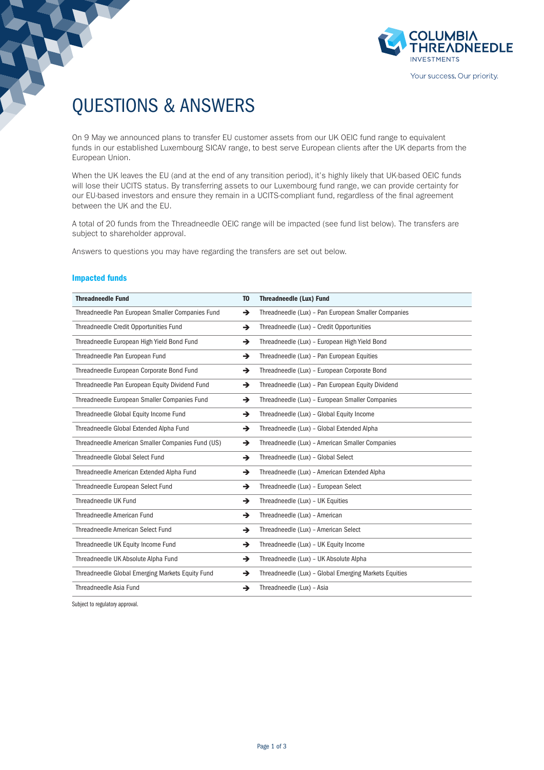

# QUESTIONS & ANSWERS

On 9 May we announced plans to transfer EU customer assets from our UK OEIC fund range to equivalent funds in our established Luxembourg SICAV range, to best serve European clients after the UK departs from the European Union.

When the UK leaves the EU (and at the end of any transition period), it's highly likely that UK-based OEIC funds will lose their UCITS status. By transferring assets to our Luxembourg fund range, we can provide certainty for our EU-based investors and ensure they remain in a UCITS-compliant fund, regardless of the final agreement between the UK and the EU.

A total of 20 funds from the Threadneedle OEIC range will be impacted (see fund list below). The transfers are subject to shareholder approval.

Answers to questions you may have regarding the transfers are set out below.

## Impacted funds

Subject to regulatory approval.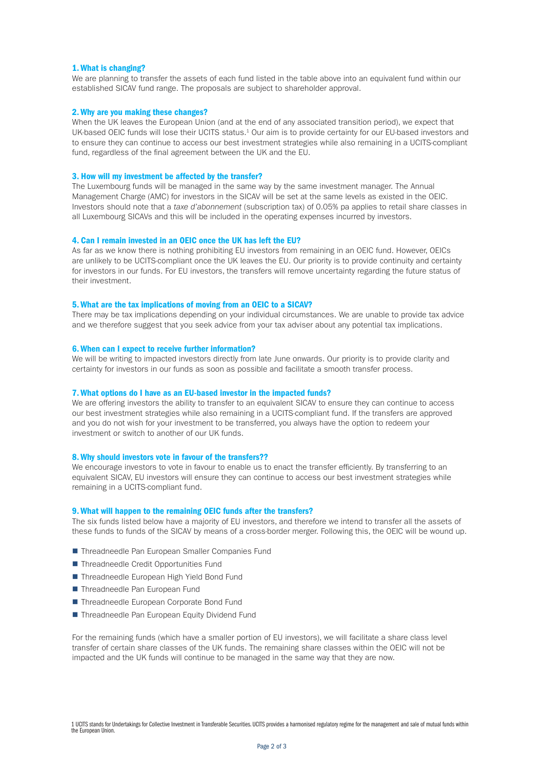#### 1. What is changing?

We are planning to transfer the assets of each fund listed in the table above into an equivalent fund within our established SICAV fund range. The proposals are subject to shareholder approval.

#### 2. Why are you making these changes?

When the UK leaves the European Union (and at the end of any associated transition period), we expect that UK-based OEIC funds will lose their UCITS status.<sup>1</sup> Our aim is to provide certainty for our EU-based investors and to ensure they can continue to access our best investment strategies while also remaining in a UCITS-compliant fund, regardless of the final agreement between the UK and the EU.

# 3. How will my investment be affected by the transfer?

The Luxembourg funds will be managed in the same way by the same investment manager. The Annual Management Charge (AMC) for investors in the SICAV will be set at the same levels as existed in the OEIC. Investors should note that a *taxe d'abonnement* (subscription tax) of 0.05% pa applies to retail share classes in all Luxembourg SICAVs and this will be included in the operating expenses incurred by investors.

#### 4. Can I remain invested in an OEIC once the UK has left the EU?

As far as we know there is nothing prohibiting EU investors from remaining in an OEIC fund. However, OEICs are unlikely to be UCITS-compliant once the UK leaves the EU. Our priority is to provide continuity and certainty for investors in our funds. For EU investors, the transfers will remove uncertainty regarding the future status of their investment.

#### 5. What are the tax implications of moving from an OEIC to a SICAV?

There may be tax implications depending on your individual circumstances. We are unable to provide tax advice and we therefore suggest that you seek advice from your tax adviser about any potential tax implications.

#### 6. When can I expect to receive further information?

We will be writing to impacted investors directly from late June onwards. Our priority is to provide clarity and certainty for investors in our funds as soon as possible and facilitate a smooth transfer process.

#### 7. What options do I have as an EU-based investor in the impacted funds?

We are offering investors the ability to transfer to an equivalent SICAV to ensure they can continue to access our best investment strategies while also remaining in a UCITS-compliant fund. If the transfers are approved and you do not wish for your investment to be transferred, you always have the option to redeem your investment or switch to another of our UK funds.

#### 8. Why should investors vote in favour of the transfers??

We encourage investors to vote in favour to enable us to enact the transfer efficiently. By transferring to an equivalent SICAV, EU investors will ensure they can continue to access our best investment strategies while remaining in a UCITS-compliant fund.

#### 9. What will happen to the remaining OEIC funds after the transfers?

The six funds listed below have a majority of EU investors, and therefore we intend to transfer all the assets of these funds to funds of the SICAV by means of a cross-border merger. Following this, the OEIC will be wound up.

- Threadneedle Pan European Smaller Companies Fund
- Threadneedle Credit Opportunities Fund
- Threadneedle European High Yield Bond Fund
- Threadneedle Pan European Fund
- Threadneedle European Corporate Bond Fund
- Threadneedle Pan European Equity Dividend Fund

For the remaining funds (which have a smaller portion of EU investors), we will facilitate a share class level transfer of certain share classes of the UK funds. The remaining share classes within the OEIC will not be impacted and the UK funds will continue to be managed in the same way that they are now.